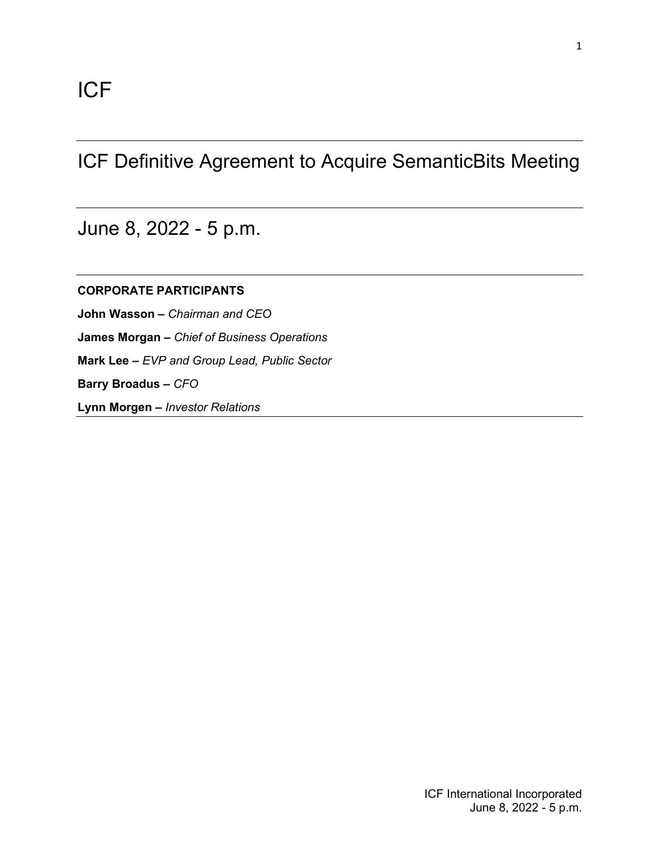# ICF Definitive Agreement to Acquire SemanticBits Meeting

June 8, 2022 - 5 p.m.

**CORPORATE PARTICIPANTS John Wasson –** *Chairman and CEO* **James Morgan –** *Chief of Business Operations* **Mark Lee –** *EVP and Group Lead, Public Sector* **Barry Broadus –** *CFO*

**Lynn Morgen –** *Investor Relations*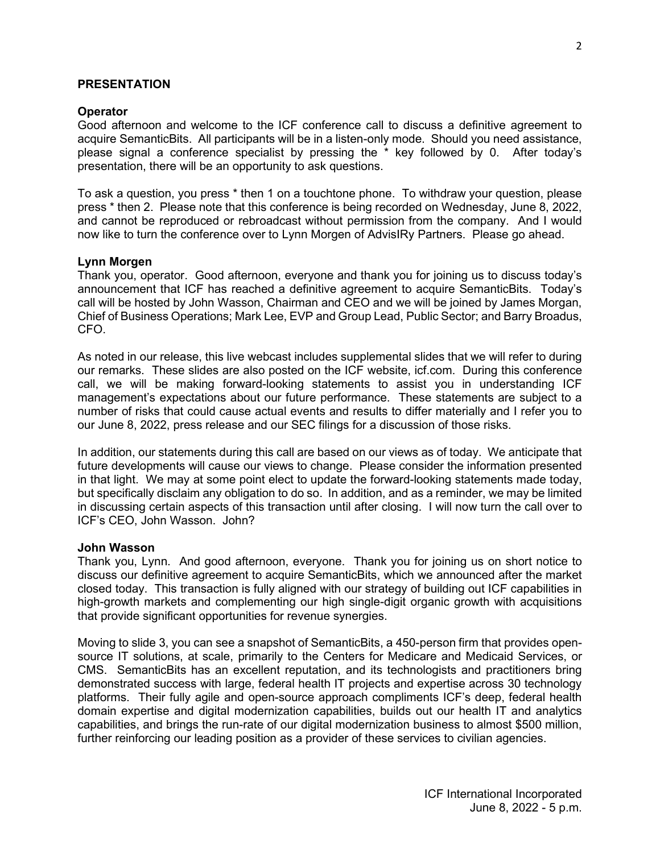## **PRESENTATION**

#### **Operator**

Good afternoon and welcome to the ICF conference call to discuss a definitive agreement to acquire SemanticBits. All participants will be in a listen-only mode. Should you need assistance, please signal a conference specialist by pressing the \* key followed by 0. After today's presentation, there will be an opportunity to ask questions.

To ask a question, you press \* then 1 on a touchtone phone. To withdraw your question, please press \* then 2. Please note that this conference is being recorded on Wednesday, June 8, 2022, and cannot be reproduced or rebroadcast without permission from the company. And I would now like to turn the conference over to Lynn Morgen of AdvisIRy Partners. Please go ahead.

## **Lynn Morgen**

Thank you, operator. Good afternoon, everyone and thank you for joining us to discuss today's announcement that ICF has reached a definitive agreement to acquire SemanticBits. Today's call will be hosted by John Wasson, Chairman and CEO and we will be joined by James Morgan, Chief of Business Operations; Mark Lee, EVP and Group Lead, Public Sector; and Barry Broadus, CFO.

As noted in our release, this live webcast includes supplemental slides that we will refer to during our remarks. These slides are also posted on the ICF website, icf.com. During this conference call, we will be making forward-looking statements to assist you in understanding ICF management's expectations about our future performance. These statements are subject to a number of risks that could cause actual events and results to differ materially and I refer you to our June 8, 2022, press release and our SEC filings for a discussion of those risks.

In addition, our statements during this call are based on our views as of today. We anticipate that future developments will cause our views to change. Please consider the information presented in that light. We may at some point elect to update the forward-looking statements made today, but specifically disclaim any obligation to do so. In addition, and as a reminder, we may be limited in discussing certain aspects of this transaction until after closing. I will now turn the call over to ICF's CEO, John Wasson. John?

#### **John Wasson**

Thank you, Lynn. And good afternoon, everyone. Thank you for joining us on short notice to discuss our definitive agreement to acquire SemanticBits, which we announced after the market closed today. This transaction is fully aligned with our strategy of building out ICF capabilities in high-growth markets and complementing our high single-digit organic growth with acquisitions that provide significant opportunities for revenue synergies.

Moving to slide 3, you can see a snapshot of SemanticBits, a 450-person firm that provides opensource IT solutions, at scale, primarily to the Centers for Medicare and Medicaid Services, or CMS. SemanticBits has an excellent reputation, and its technologists and practitioners bring demonstrated success with large, federal health IT projects and expertise across 30 technology platforms. Their fully agile and open-source approach compliments ICF's deep, federal health domain expertise and digital modernization capabilities, builds out our health IT and analytics capabilities, and brings the run-rate of our digital modernization business to almost \$500 million, further reinforcing our leading position as a provider of these services to civilian agencies.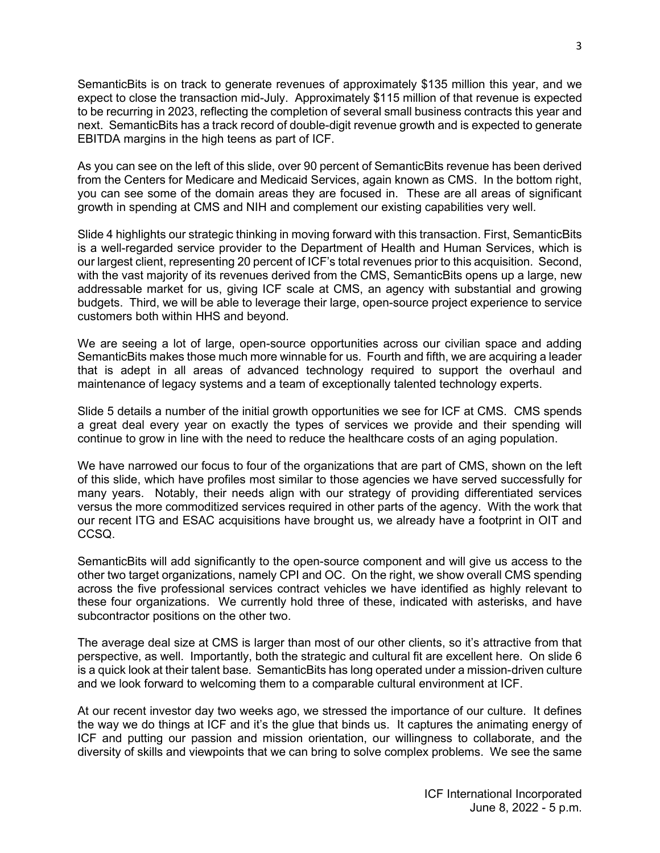SemanticBits is on track to generate revenues of approximately \$135 million this year, and we expect to close the transaction mid-July. Approximately \$115 million of that revenue is expected to be recurring in 2023, reflecting the completion of several small business contracts this year and next. SemanticBits has a track record of double-digit revenue growth and is expected to generate EBITDA margins in the high teens as part of ICF.

As you can see on the left of this slide, over 90 percent of SemanticBits revenue has been derived from the Centers for Medicare and Medicaid Services, again known as CMS. In the bottom right, you can see some of the domain areas they are focused in. These are all areas of significant growth in spending at CMS and NIH and complement our existing capabilities very well.

Slide 4 highlights our strategic thinking in moving forward with this transaction. First, SemanticBits is a well-regarded service provider to the Department of Health and Human Services, which is our largest client, representing 20 percent of ICF's total revenues prior to this acquisition. Second, with the vast majority of its revenues derived from the CMS, SemanticBits opens up a large, new addressable market for us, giving ICF scale at CMS, an agency with substantial and growing budgets. Third, we will be able to leverage their large, open-source project experience to service customers both within HHS and beyond.

We are seeing a lot of large, open-source opportunities across our civilian space and adding SemanticBits makes those much more winnable for us. Fourth and fifth, we are acquiring a leader that is adept in all areas of advanced technology required to support the overhaul and maintenance of legacy systems and a team of exceptionally talented technology experts.

Slide 5 details a number of the initial growth opportunities we see for ICF at CMS. CMS spends a great deal every year on exactly the types of services we provide and their spending will continue to grow in line with the need to reduce the healthcare costs of an aging population.

We have narrowed our focus to four of the organizations that are part of CMS, shown on the left of this slide, which have profiles most similar to those agencies we have served successfully for many years. Notably, their needs align with our strategy of providing differentiated services versus the more commoditized services required in other parts of the agency. With the work that our recent ITG and ESAC acquisitions have brought us, we already have a footprint in OIT and CCSQ.

SemanticBits will add significantly to the open-source component and will give us access to the other two target organizations, namely CPI and OC. On the right, we show overall CMS spending across the five professional services contract vehicles we have identified as highly relevant to these four organizations. We currently hold three of these, indicated with asterisks, and have subcontractor positions on the other two.

The average deal size at CMS is larger than most of our other clients, so it's attractive from that perspective, as well. Importantly, both the strategic and cultural fit are excellent here. On slide 6 is a quick look at their talent base. SemanticBits has long operated under a mission-driven culture and we look forward to welcoming them to a comparable cultural environment at ICF.

At our recent investor day two weeks ago, we stressed the importance of our culture. It defines the way we do things at ICF and it's the glue that binds us. It captures the animating energy of ICF and putting our passion and mission orientation, our willingness to collaborate, and the diversity of skills and viewpoints that we can bring to solve complex problems. We see the same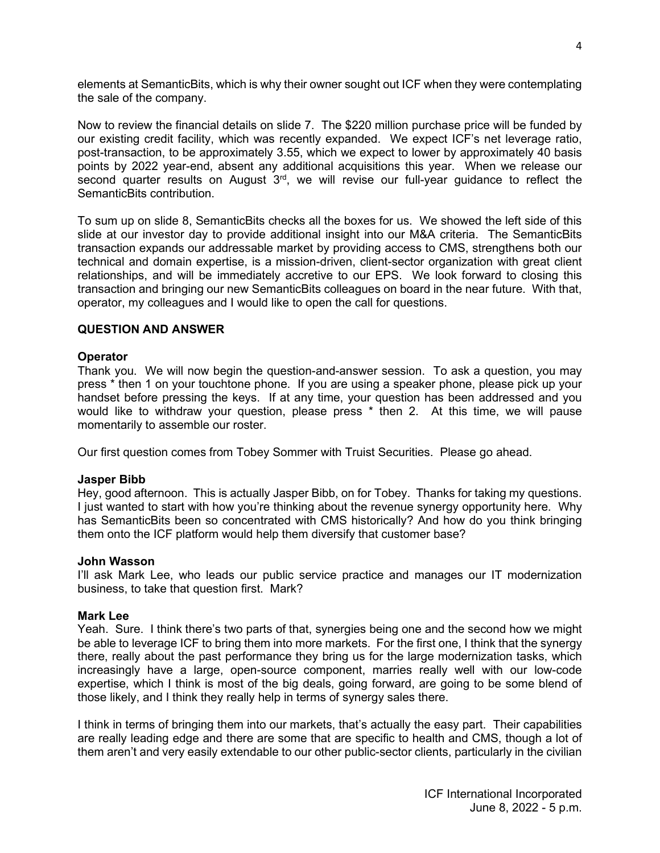elements at SemanticBits, which is why their owner sought out ICF when they were contemplating the sale of the company.

Now to review the financial details on slide 7. The \$220 million purchase price will be funded by our existing credit facility, which was recently expanded. We expect ICF's net leverage ratio, post-transaction, to be approximately 3.55, which we expect to lower by approximately 40 basis points by 2022 year-end, absent any additional acquisitions this year. When we release our second quarter results on August 3<sup>rd</sup>, we will revise our full-year guidance to reflect the SemanticBits contribution.

To sum up on slide 8, SemanticBits checks all the boxes for us. We showed the left side of this slide at our investor day to provide additional insight into our M&A criteria. The SemanticBits transaction expands our addressable market by providing access to CMS, strengthens both our technical and domain expertise, is a mission-driven, client-sector organization with great client relationships, and will be immediately accretive to our EPS. We look forward to closing this transaction and bringing our new SemanticBits colleagues on board in the near future. With that, operator, my colleagues and I would like to open the call for questions.

# **QUESTION AND ANSWER**

# **Operator**

Thank you. We will now begin the question-and-answer session. To ask a question, you may press \* then 1 on your touchtone phone. If you are using a speaker phone, please pick up your handset before pressing the keys. If at any time, your question has been addressed and you would like to withdraw your question, please press \* then 2. At this time, we will pause momentarily to assemble our roster.

Our first question comes from Tobey Sommer with Truist Securities. Please go ahead.

# **Jasper Bibb**

Hey, good afternoon. This is actually Jasper Bibb, on for Tobey. Thanks for taking my questions. I just wanted to start with how you're thinking about the revenue synergy opportunity here. Why has SemanticBits been so concentrated with CMS historically? And how do you think bringing them onto the ICF platform would help them diversify that customer base?

# **John Wasson**

I'll ask Mark Lee, who leads our public service practice and manages our IT modernization business, to take that question first. Mark?

# **Mark Lee**

Yeah. Sure. I think there's two parts of that, synergies being one and the second how we might be able to leverage ICF to bring them into more markets. For the first one, I think that the synergy there, really about the past performance they bring us for the large modernization tasks, which increasingly have a large, open-source component, marries really well with our low-code expertise, which I think is most of the big deals, going forward, are going to be some blend of those likely, and I think they really help in terms of synergy sales there.

I think in terms of bringing them into our markets, that's actually the easy part. Their capabilities are really leading edge and there are some that are specific to health and CMS, though a lot of them aren't and very easily extendable to our other public-sector clients, particularly in the civilian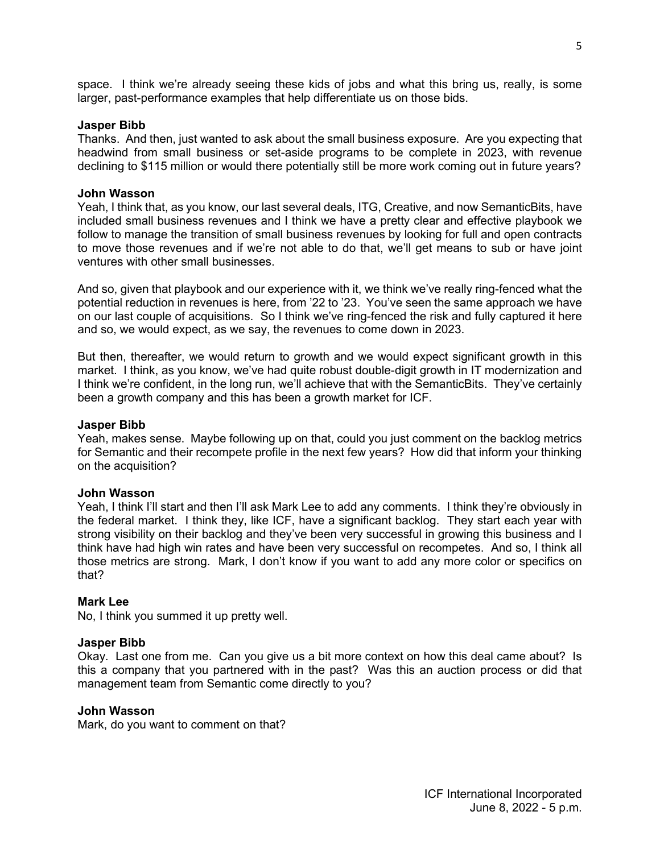space. I think we're already seeing these kids of jobs and what this bring us, really, is some larger, past-performance examples that help differentiate us on those bids.

## **Jasper Bibb**

Thanks. And then, just wanted to ask about the small business exposure. Are you expecting that headwind from small business or set-aside programs to be complete in 2023, with revenue declining to \$115 million or would there potentially still be more work coming out in future years?

## **John Wasson**

Yeah, I think that, as you know, our last several deals, ITG, Creative, and now SemanticBits, have included small business revenues and I think we have a pretty clear and effective playbook we follow to manage the transition of small business revenues by looking for full and open contracts to move those revenues and if we're not able to do that, we'll get means to sub or have joint ventures with other small businesses.

And so, given that playbook and our experience with it, we think we've really ring-fenced what the potential reduction in revenues is here, from '22 to '23. You've seen the same approach we have on our last couple of acquisitions. So I think we've ring-fenced the risk and fully captured it here and so, we would expect, as we say, the revenues to come down in 2023.

But then, thereafter, we would return to growth and we would expect significant growth in this market. I think, as you know, we've had quite robust double-digit growth in IT modernization and I think we're confident, in the long run, we'll achieve that with the SemanticBits. They've certainly been a growth company and this has been a growth market for ICF.

#### **Jasper Bibb**

Yeah, makes sense. Maybe following up on that, could you just comment on the backlog metrics for Semantic and their recompete profile in the next few years? How did that inform your thinking on the acquisition?

#### **John Wasson**

Yeah, I think I'll start and then I'll ask Mark Lee to add any comments. I think they're obviously in the federal market. I think they, like ICF, have a significant backlog. They start each year with strong visibility on their backlog and they've been very successful in growing this business and I think have had high win rates and have been very successful on recompetes. And so, I think all those metrics are strong. Mark, I don't know if you want to add any more color or specifics on that?

# **Mark Lee**

No, I think you summed it up pretty well.

#### **Jasper Bibb**

Okay. Last one from me. Can you give us a bit more context on how this deal came about? Is this a company that you partnered with in the past? Was this an auction process or did that management team from Semantic come directly to you?

# **John Wasson**

Mark, do you want to comment on that?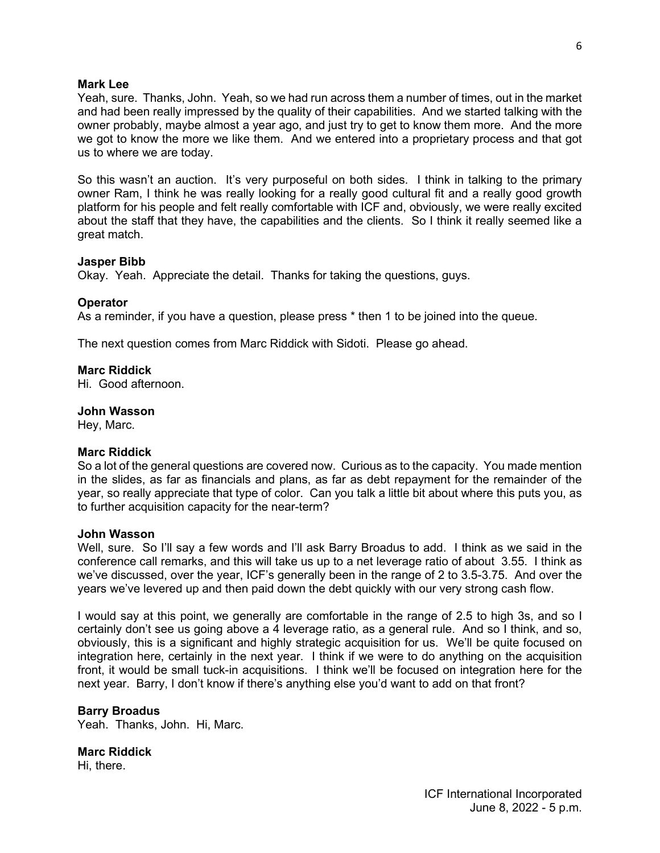## **Mark Lee**

Yeah, sure. Thanks, John. Yeah, so we had run across them a number of times, out in the market and had been really impressed by the quality of their capabilities. And we started talking with the owner probably, maybe almost a year ago, and just try to get to know them more. And the more we got to know the more we like them. And we entered into a proprietary process and that got us to where we are today.

So this wasn't an auction. It's very purposeful on both sides. I think in talking to the primary owner Ram, I think he was really looking for a really good cultural fit and a really good growth platform for his people and felt really comfortable with ICF and, obviously, we were really excited about the staff that they have, the capabilities and the clients. So I think it really seemed like a great match.

## **Jasper Bibb**

Okay. Yeah. Appreciate the detail. Thanks for taking the questions, guys.

## **Operator**

As a reminder, if you have a question, please press \* then 1 to be joined into the queue.

The next question comes from Marc Riddick with Sidoti. Please go ahead.

## **Marc Riddick**

Hi. Good afternoon.

## **John Wasson**

Hey, Marc.

# **Marc Riddick**

So a lot of the general questions are covered now. Curious as to the capacity. You made mention in the slides, as far as financials and plans, as far as debt repayment for the remainder of the year, so really appreciate that type of color. Can you talk a little bit about where this puts you, as to further acquisition capacity for the near-term?

#### **John Wasson**

Well, sure. So I'll say a few words and I'll ask Barry Broadus to add. I think as we said in the conference call remarks, and this will take us up to a net leverage ratio of about 3.55. I think as we've discussed, over the year, ICF's generally been in the range of 2 to 3.5-3.75. And over the years we've levered up and then paid down the debt quickly with our very strong cash flow.

I would say at this point, we generally are comfortable in the range of 2.5 to high 3s, and so I certainly don't see us going above a 4 leverage ratio, as a general rule. And so I think, and so, obviously, this is a significant and highly strategic acquisition for us. We'll be quite focused on integration here, certainly in the next year. I think if we were to do anything on the acquisition front, it would be small tuck-in acquisitions. I think we'll be focused on integration here for the next year. Barry, I don't know if there's anything else you'd want to add on that front?

# **Barry Broadus**

Yeah. Thanks, John. Hi, Marc.

# **Marc Riddick**

Hi, there.